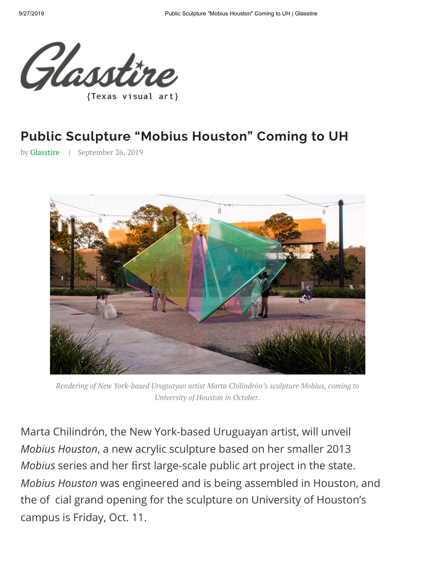

## **[Pub](https://glasstire.com/)li[c Scul](https://glasstire.com/category/feature/)p[ture](https://glasstire.com/category/newswire/) "[Mobius](https://glasstire.com/category/podcast/) [Housto](https://glasstire.com/category/feature/top-five/)n[" Co](https://glasstire.com/videos/)mi[ng to U](https://glasstire.com/events-landing-page/)H**

by Glasstire | September 26, 2019



*Rendering of New York-based Uruguayan artist Marta Chilindrón's sculpture Mobius, coming to University of Houston in October.*

Marta Chilindrón, the New York-based Uruguayan artist, will unveil *Mobius Houston*, a new acrylic sculpture based on her smaller 2013 *Mobius* series and her first large-scale public art project in the state. *Mobius Houston* was engineered and is being assembled in Houston, and the of cial grand opening for the sculpture on University of Houston's campus is Friday, Oct. 11.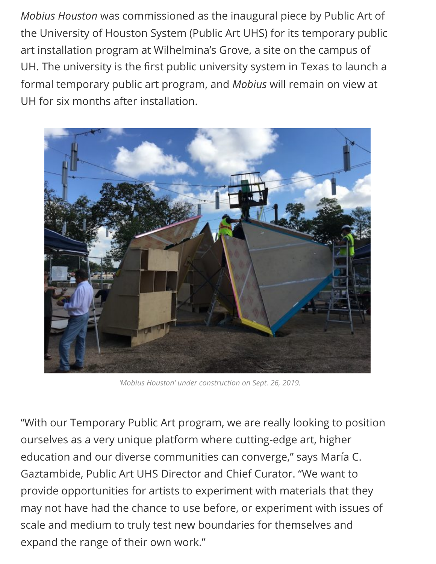*Mobius Houston* was commissioned as the inaugural piece by Public Art of the University of Houston System (Public Art UHS) for its temporary public art installation program at Wilhelmina's Grove, a site on the campus of UH. The university is the first public university system in Texas to launch a formal temporary public art program, and *Mobius* will remain on view at UH for six months after installation.



*'Mobius Houston' under construction on Sept. 26, 2019.*

"With our Temporary Public Art program, we are really looking to position ourselves as a very unique platform where cutting-edge art, higher education and our diverse communities can converge," says María C. Gaztambide, Public Art UHS Director and Chief Curator. "We want to provide opportunities for artists to experiment with materials that they may not have had the chance to use before, or experiment with issues of scale and medium to truly test new boundaries for themselves and expand the range of their own work."